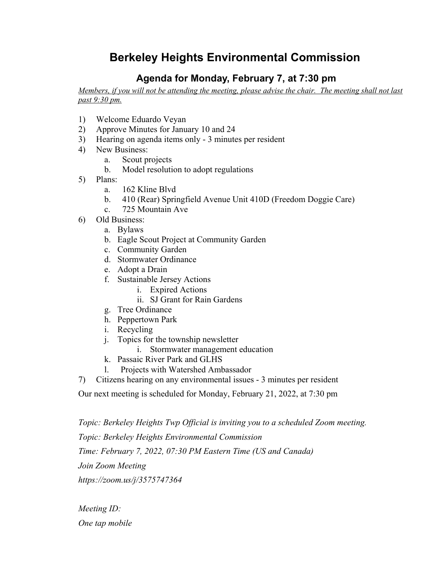## **Berkeley Heights Environmental Commission**

## **Agenda for Monday, February 7, at 7:30 pm**

Members, if you will not be attending the meeting, please advise the chair. The meeting shall not last *past 9:30 pm.*

- 1) Welcome Eduardo Veyan
- 2) Approve Minutes for January 10 and 24
- 3) Hearing on agenda items only 3 minutes per resident
- 4) New Business:
	- a. Scout projects
	- b. Model resolution to adopt regulations
- 5) Plans:
	- a. 162 Kline Blvd
	- b. 410 (Rear) Springfield Avenue Unit 410D (Freedom Doggie Care)
	- c. 725 Mountain Ave
- 6) Old Business:
	- a. Bylaws
	- b. Eagle Scout Project at Community Garden
	- c. Community Garden
	- d. Stormwater Ordinance
	- e. Adopt a Drain
	- f. Sustainable Jersey Actions
		- i. Expired Actions
		- ii. SJ Grant for Rain Gardens
	- g. Tree Ordinance
	- h. Peppertown Park
	- i. Recycling
	- j. Topics for the township newsletter
		- i. Stormwater management education
	- k. Passaic River Park and GLHS
	- l. Projects with Watershed Ambassador
- 7) Citizens hearing on any environmental issues 3 minutes per resident

Our next meeting is scheduled for Monday, February 21, 2022, at 7:30 pm

*Topic: Berkeley Heights Twp Official is inviting you to a scheduled Zoom meeting. Topic: Berkeley Heights Environmental Commission Time: February 7, 2022, 07:30 PM Eastern Time (US and Canada) Join Zoom Meeting https://zoom.us/j/3575747364*

*Meeting ID: One tap mobile*